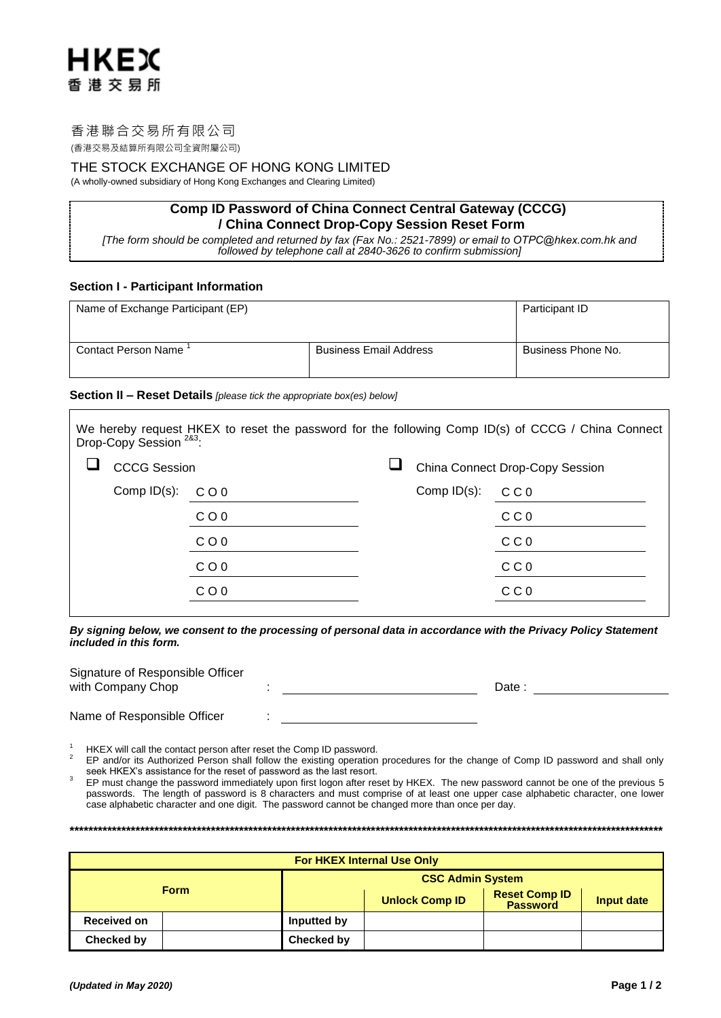# 香港聯合交易所有限公司

**HKEX** 

香港交易所

(香港交易及結算所有限公司全資附屬公司)

## THE STOCK EXCHANGE OF HONG KONG LIMITED

(A wholly-owned subsidiary of Hong Kong Exchanges and Clearing Limited)

# **Comp ID Password of China Connect Central Gateway (CCCG)** / China Connect Drop-Copy Session Reset Form

[The form should be completed and returned by fax (Fax No.: 2521-7899) or email to OTPC@hkex.com.hk and followed by telephone call at 2840-3626 to confirm submission]

## **Section I - Participant Information**

| Name of Exchange Participant (EP) | Participant ID                |                    |
|-----------------------------------|-------------------------------|--------------------|
|                                   |                               |                    |
| <b>Contact Person Name</b>        | <b>Business Email Address</b> | Business Phone No. |

## Section II - Reset Details [please tick the appropriate box(es) below]

| Drop-Copy Session <sup>283</sup> : |                 |  |                                 | We hereby request HKEX to reset the password for the following Comp ID(s) of CCCG / China Connect |  |  |
|------------------------------------|-----------------|--|---------------------------------|---------------------------------------------------------------------------------------------------|--|--|
| <b>CCCG Session</b>                |                 |  | China Connect Drop-Copy Session |                                                                                                   |  |  |
| Comp $ID(s)$ :                     | CO <sub>0</sub> |  | Comp $ID(s)$ :                  | C C 0                                                                                             |  |  |
|                                    | C O 0           |  |                                 | C C 0                                                                                             |  |  |
|                                    | $C$ O 0         |  |                                 | C C 0                                                                                             |  |  |
|                                    | $C$ O 0         |  |                                 | C C 0                                                                                             |  |  |
|                                    | COO             |  |                                 | C C 0                                                                                             |  |  |
|                                    |                 |  |                                 |                                                                                                   |  |  |

By signing below, we consent to the processing of personal data in accordance with the Privacy Policy Statement included in this form.

| Signature of Responsible Officer<br>with Company Chop |  | Date |  |
|-------------------------------------------------------|--|------|--|
| Name of Responsible Officer                           |  |      |  |

HKEX will call the contact person after reset the Comp ID password.

 $\overline{2}$ EP and/or its Authorized Person shall follow the existing operation procedures for the change of Comp ID password and shall only seek HKEX's assistance for the reset of password as the last resort.

 $\mathbf{a}$ EP must change the password immediately upon first logon after reset by HKEX. The new password cannot be one of the previous 5 passwords. The length of password is 8 characters and must comprise of at least one upper case alphabetic character, one lower case alphabetic character and one digit. The password cannot be changed more than once per day.

| <b>For HKEX Internal Use Only</b> |             |                         |                                         |            |  |  |  |
|-----------------------------------|-------------|-------------------------|-----------------------------------------|------------|--|--|--|
|                                   |             | <b>CSC Admin System</b> |                                         |            |  |  |  |
| <b>Form</b>                       |             | <b>Unlock Comp ID</b>   | <b>Reset Comp ID</b><br><b>Password</b> | Input date |  |  |  |
| Received on                       | Inputted by |                         |                                         |            |  |  |  |
| Checked by                        | Checked by  |                         |                                         |            |  |  |  |